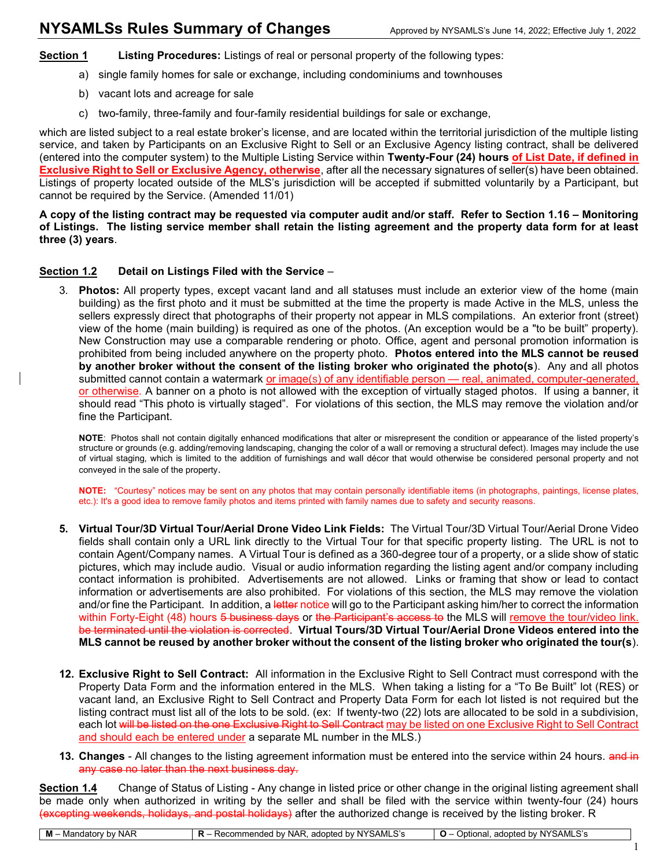Section 1 Listing Procedures: Listings of real or personal property of the following types:

- a) single family homes for sale or exchange, including condominiums and townhouses
- b) vacant lots and acreage for sale
- c) two-family, three-family and four-family residential buildings for sale or exchange,

which are listed subject to a real estate broker's license, and are located within the territorial jurisdiction of the multiple listing service, and taken by Participants on an Exclusive Right to Sell or an Exclusive Agency listing contract, shall be delivered (entered into the computer system) to the Multiple Listing Service within Twenty-Four (24) hours of List Date, if defined in Exclusive Right to Sell or Exclusive Agency, otherwise, after all the necessary signatures of seller(s) have been obtained. Listings of property located outside of the MLS's jurisdiction will be accepted if submitted voluntarily by a Participant, but cannot be required by the Service. (Amended 11/01)

A copy of the listing contract may be requested via computer audit and/or staff. Refer to Section 1.16 – Monitoring of Listings. The listing service member shall retain the listing agreement and the property data form for at least three (3) years.

## Section 1.2 Detail on Listings Filed with the Service –

3. Photos: All property types, except vacant land and all statuses must include an exterior view of the home (main building) as the first photo and it must be submitted at the time the property is made Active in the MLS, unless the sellers expressly direct that photographs of their property not appear in MLS compilations. An exterior front (street) view of the home (main building) is required as one of the photos. (An exception would be a "to be built" property). New Construction may use a comparable rendering or photo. Office, agent and personal promotion information is prohibited from being included anywhere on the property photo. Photos entered into the MLS cannot be reused by another broker without the consent of the listing broker who originated the photo(s). Any and all photos submitted cannot contain a watermark or image(s) of any identifiable person — real, animated, computer-generated, or otherwise. A banner on a photo is not allowed with the exception of virtually staged photos. If using a banner, it should read "This photo is virtually staged". For violations of this section, the MLS may remove the violation and/or fine the Participant.

NOTE: Photos shall not contain digitally enhanced modifications that alter or misrepresent the condition or appearance of the listed property's structure or grounds (e.g. adding/removing landscaping, changing the color of a wall or removing a structural defect). Images may include the use of virtual staging, which is limited to the addition of furnishings and wall décor that would otherwise be considered personal property and not conveyed in the sale of the property.

NOTE: "Courtesy" notices may be sent on any photos that may contain personally identifiable items (in photographs, paintings, license plates, etc.): It's a good idea to remove family photos and items printed with family names due to safety and security reasons.

- 5. Virtual Tour/3D Virtual Tour/Aerial Drone Video Link Fields: The Virtual Tour/3D Virtual Tour/Aerial Drone Video fields shall contain only a URL link directly to the Virtual Tour for that specific property listing. The URL is not to contain Agent/Company names. A Virtual Tour is defined as a 360-degree tour of a property, or a slide show of static pictures, which may include audio. Visual or audio information regarding the listing agent and/or company including contact information is prohibited. Advertisements are not allowed. Links or framing that show or lead to contact information or advertisements are also prohibited. For violations of this section, the MLS may remove the violation and/or fine the Participant. In addition, a letter notice will go to the Participant asking him/her to correct the information within Forty-Eight (48) hours 5 business days or the Participant's access to the MLS will remove the tour/video link. be terminated until the violation is corrected. Virtual Tours/3D Virtual Tour/Aerial Drone Videos entered into the MLS cannot be reused by another broker without the consent of the listing broker who originated the tour(s).
- 12. Exclusive Right to Sell Contract: All information in the Exclusive Right to Sell Contract must correspond with the Property Data Form and the information entered in the MLS. When taking a listing for a "To Be Built" lot (RES) or vacant land, an Exclusive Right to Sell Contract and Property Data Form for each lot listed is not required but the listing contract must list all of the lots to be sold. (ex: If twenty-two (22) lots are allocated to be sold in a subdivision, each lot will be listed on the one Exclusive Right to Sell Contract may be listed on one Exclusive Right to Sell Contract and should each be entered under a separate ML number in the MLS.)
- 13. Changes All changes to the listing agreement information must be entered into the service within 24 hours. and in any case no later than the next business day.

Section 1.4 Change of Status of Listing - Any change in listed price or other change in the original listing agreement shall be made only when authorized in writing by the seller and shall be filed with the service within twenty-four (24) hours <del>(excepting weekends, holidays, and postal holidays)</del> after the authorized change is received by the listing broker. R